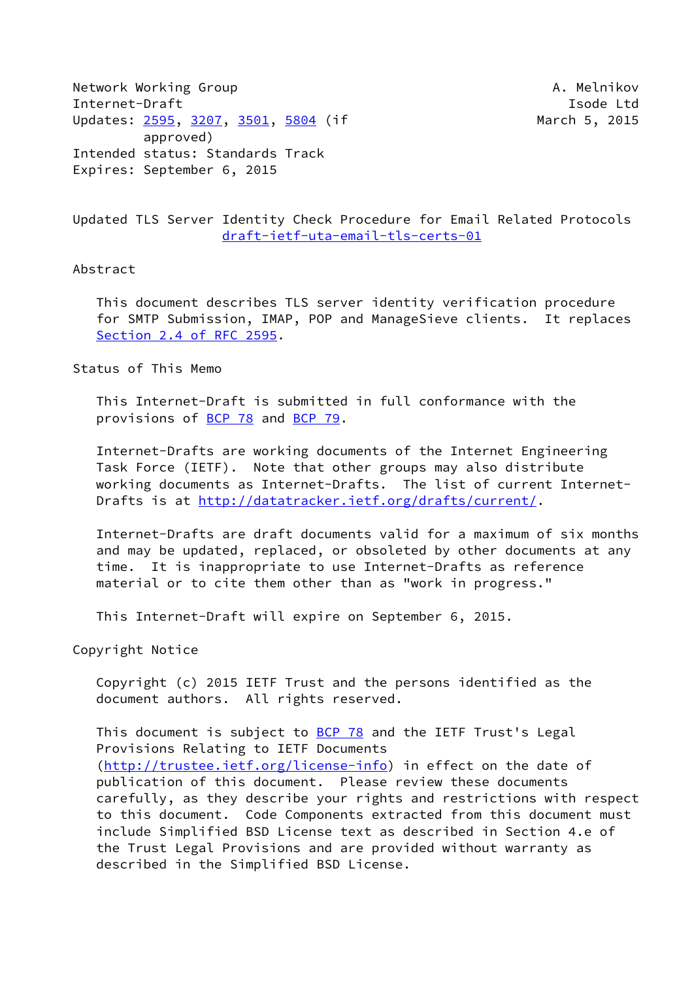Network Working Group **A. Melnikov** A. Melnikov Internet-Draft **Isolat Isom and Isom and Isolat Isolat Isolat Isolat Isolat Isolat Isolat Isolat Isolat Isolat Isolat Isolat Isolat Isolat Isolat Isolat Isolat Isolat Isolat Isolat Isolat Isolat Isolat Isolat Isolat Isolat** Updates: [2595](https://datatracker.ietf.org/doc/pdf/rfc2595), [3207,](https://datatracker.ietf.org/doc/pdf/rfc3207) [3501](https://datatracker.ietf.org/doc/pdf/rfc3501), [5804](https://datatracker.ietf.org/doc/pdf/rfc5804) (if March 5, 2015 approved) Intended status: Standards Track Expires: September 6, 2015

## Updated TLS Server Identity Check Procedure for Email Related Protocols [draft-ietf-uta-email-tls-certs-01](https://datatracker.ietf.org/doc/pdf/draft-ietf-uta-email-tls-certs-01)

#### Abstract

 This document describes TLS server identity verification procedure for SMTP Submission, IMAP, POP and ManageSieve clients. It replaces Section [2.4 of RFC 2595](https://datatracker.ietf.org/doc/pdf/rfc2595#section-2.4).

Status of This Memo

 This Internet-Draft is submitted in full conformance with the provisions of [BCP 78](https://datatracker.ietf.org/doc/pdf/bcp78) and [BCP 79](https://datatracker.ietf.org/doc/pdf/bcp79).

 Internet-Drafts are working documents of the Internet Engineering Task Force (IETF). Note that other groups may also distribute working documents as Internet-Drafts. The list of current Internet- Drafts is at<http://datatracker.ietf.org/drafts/current/>.

 Internet-Drafts are draft documents valid for a maximum of six months and may be updated, replaced, or obsoleted by other documents at any time. It is inappropriate to use Internet-Drafts as reference material or to cite them other than as "work in progress."

This Internet-Draft will expire on September 6, 2015.

Copyright Notice

 Copyright (c) 2015 IETF Trust and the persons identified as the document authors. All rights reserved.

This document is subject to **[BCP 78](https://datatracker.ietf.org/doc/pdf/bcp78)** and the IETF Trust's Legal Provisions Relating to IETF Documents [\(http://trustee.ietf.org/license-info](http://trustee.ietf.org/license-info)) in effect on the date of publication of this document. Please review these documents carefully, as they describe your rights and restrictions with respect to this document. Code Components extracted from this document must include Simplified BSD License text as described in Section 4.e of the Trust Legal Provisions and are provided without warranty as described in the Simplified BSD License.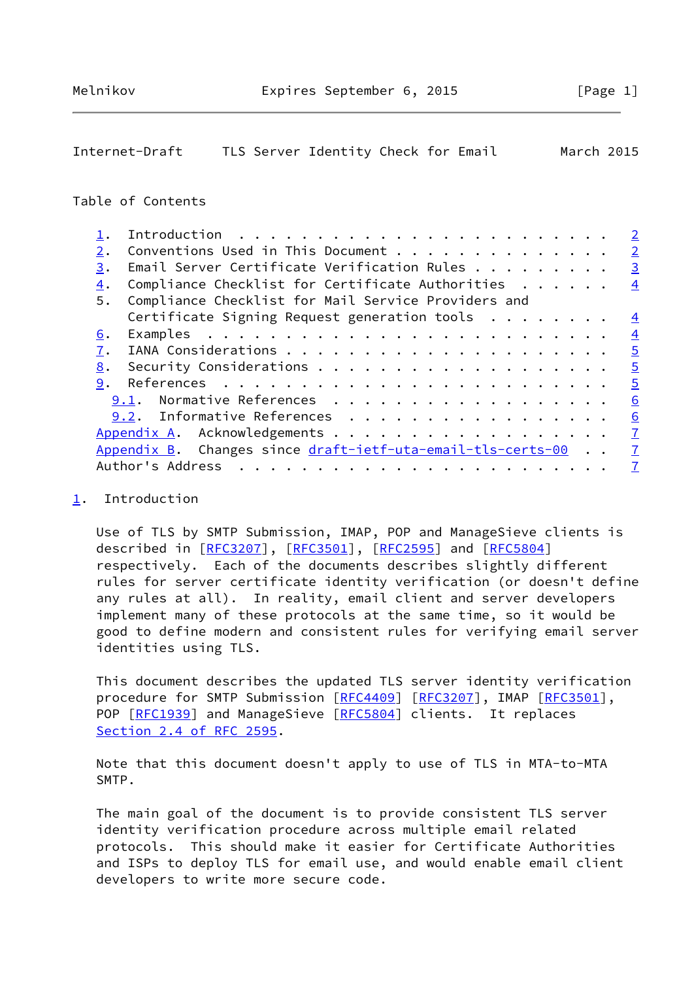# <span id="page-1-1"></span>Internet-Draft TLS Server Identity Check for Email March 2015

### Table of Contents

|    |                                                             | $\overline{2}$ |
|----|-------------------------------------------------------------|----------------|
| 2. | Conventions Used in This Document                           | $\overline{2}$ |
| 3. | Email Server Certificate Verification Rules                 | $\overline{3}$ |
| 4. | Compliance Checklist for Certificate Authorities            | $\overline{4}$ |
| 5. | Compliance Checklist for Mail Service Providers and         |                |
|    | Certificate Signing Request generation tools $\dots \dots$  | $\overline{4}$ |
| 6. |                                                             | $\overline{4}$ |
| 7. |                                                             | $\overline{5}$ |
| 8. |                                                             | $\overline{5}$ |
| 9. |                                                             | $\overline{5}$ |
|    | 9.1. Normative References                                   | 6              |
|    | 9.2. Informative References                                 | 6              |
|    |                                                             | $\overline{1}$ |
|    | Appendix B. Changes since draft-ietf-uta-email-tls-certs-00 | $\overline{7}$ |
|    | Author's Address                                            | $\overline{7}$ |
|    |                                                             |                |

### <span id="page-1-0"></span>[1](#page-1-0). Introduction

 Use of TLS by SMTP Submission, IMAP, POP and ManageSieve clients is described in [\[RFC3207](https://datatracker.ietf.org/doc/pdf/rfc3207)], [\[RFC3501](https://datatracker.ietf.org/doc/pdf/rfc3501)], [[RFC2595\]](https://datatracker.ietf.org/doc/pdf/rfc2595) and [\[RFC5804](https://datatracker.ietf.org/doc/pdf/rfc5804)] respectively. Each of the documents describes slightly different rules for server certificate identity verification (or doesn't define any rules at all). In reality, email client and server developers implement many of these protocols at the same time, so it would be good to define modern and consistent rules for verifying email server identities using TLS.

 This document describes the updated TLS server identity verification procedure for SMTP Submission [[RFC4409](https://datatracker.ietf.org/doc/pdf/rfc4409)] [\[RFC3207](https://datatracker.ietf.org/doc/pdf/rfc3207)], IMAP [\[RFC3501](https://datatracker.ietf.org/doc/pdf/rfc3501)], POP [\[RFC1939](https://datatracker.ietf.org/doc/pdf/rfc1939)] and ManageSieve [[RFC5804](https://datatracker.ietf.org/doc/pdf/rfc5804)] clients. It replaces Section [2.4 of RFC 2595](https://datatracker.ietf.org/doc/pdf/rfc2595#section-2.4).

 Note that this document doesn't apply to use of TLS in MTA-to-MTA SMTP.

 The main goal of the document is to provide consistent TLS server identity verification procedure across multiple email related protocols. This should make it easier for Certificate Authorities and ISPs to deploy TLS for email use, and would enable email client developers to write more secure code.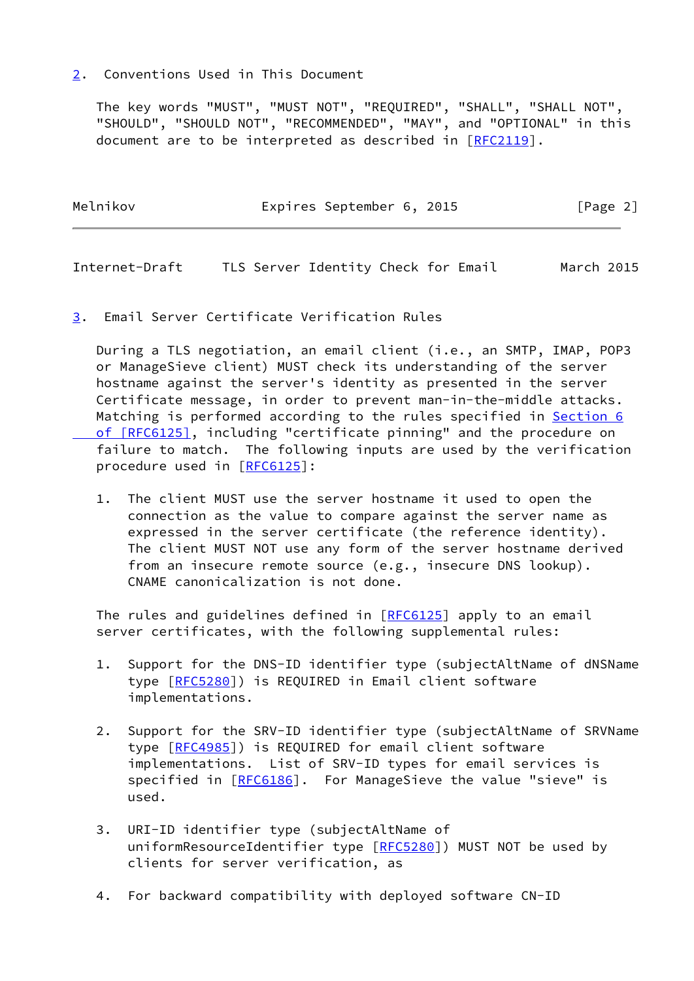#### <span id="page-2-0"></span>[2](#page-2-0). Conventions Used in This Document

 The key words "MUST", "MUST NOT", "REQUIRED", "SHALL", "SHALL NOT", "SHOULD", "SHOULD NOT", "RECOMMENDED", "MAY", and "OPTIONAL" in this document are to be interpreted as described in [\[RFC2119](https://datatracker.ietf.org/doc/pdf/rfc2119)].

| Melnikov | Expires September 6, 2015 |  | [Page 2] |
|----------|---------------------------|--|----------|
|          |                           |  |          |

<span id="page-2-2"></span>Internet-Draft TLS Server Identity Check for Email March 2015

<span id="page-2-1"></span>[3](#page-2-1). Email Server Certificate Verification Rules

 During a TLS negotiation, an email client (i.e., an SMTP, IMAP, POP3 or ManageSieve client) MUST check its understanding of the server hostname against the server's identity as presented in the server Certificate message, in order to prevent man-in-the-middle attacks. Matching is performed according to the rules specified in [Section](https://datatracker.ietf.org/doc/pdf/rfc6125#section-6) 6  [of \[RFC6125\]](https://datatracker.ietf.org/doc/pdf/rfc6125#section-6), including "certificate pinning" and the procedure on failure to match. The following inputs are used by the verification procedure used in [[RFC6125](https://datatracker.ietf.org/doc/pdf/rfc6125)]:

 1. The client MUST use the server hostname it used to open the connection as the value to compare against the server name as expressed in the server certificate (the reference identity). The client MUST NOT use any form of the server hostname derived from an insecure remote source (e.g., insecure DNS lookup). CNAME canonicalization is not done.

The rules and guidelines defined in [\[RFC6125](https://datatracker.ietf.org/doc/pdf/rfc6125)] apply to an email server certificates, with the following supplemental rules:

- 1. Support for the DNS-ID identifier type (subjectAltName of dNSName type [\[RFC5280](https://datatracker.ietf.org/doc/pdf/rfc5280)]) is REQUIRED in Email client software implementations.
- 2. Support for the SRV-ID identifier type (subjectAltName of SRVName type [\[RFC4985](https://datatracker.ietf.org/doc/pdf/rfc4985)]) is REQUIRED for email client software implementations. List of SRV-ID types for email services is specified in [\[RFC6186](https://datatracker.ietf.org/doc/pdf/rfc6186)]. For ManageSieve the value "sieve" is used.
- 3. URI-ID identifier type (subjectAltName of uniformResourceIdentifier type [[RFC5280\]](https://datatracker.ietf.org/doc/pdf/rfc5280)) MUST NOT be used by clients for server verification, as
- 4. For backward compatibility with deployed software CN-ID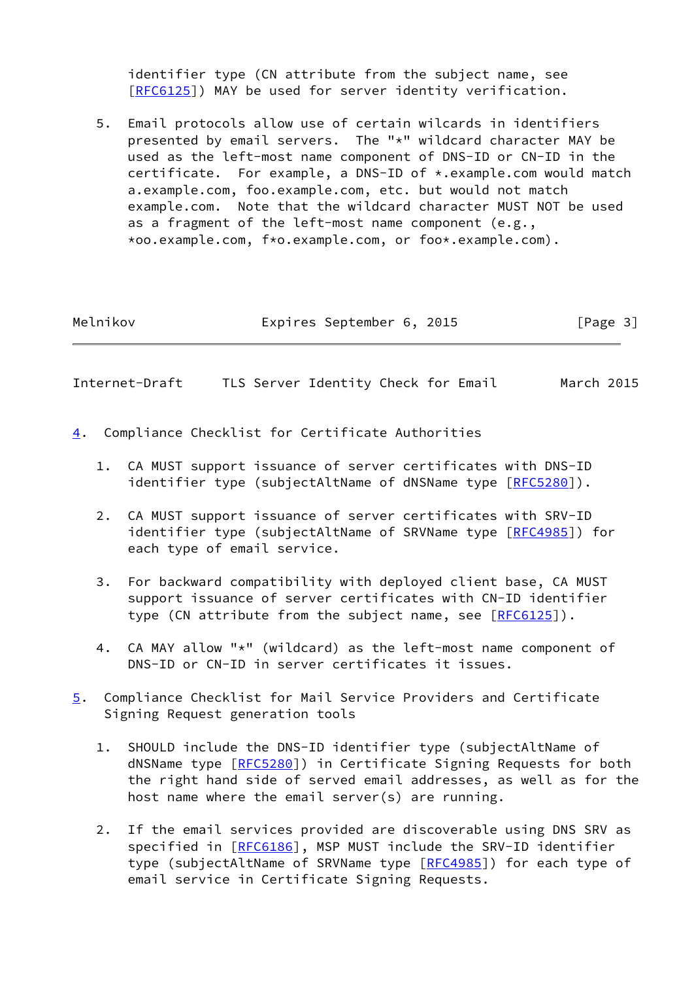identifier type (CN attribute from the subject name, see [\[RFC6125](https://datatracker.ietf.org/doc/pdf/rfc6125)]) MAY be used for server identity verification.

 5. Email protocols allow use of certain wilcards in identifiers presented by email servers. The "\*" wildcard character MAY be used as the left-most name component of DNS-ID or CN-ID in the certificate. For example, a DNS-ID of \*.example.com would match a.example.com, foo.example.com, etc. but would not match example.com. Note that the wildcard character MUST NOT be used as a fragment of the left-most name component (e.g., \*oo.example.com, f\*o.example.com, or foo\*.example.com).

| Melnikov | Expires September 6, 2015 |  |  | [Page 3] |
|----------|---------------------------|--|--|----------|
|----------|---------------------------|--|--|----------|

<span id="page-3-1"></span>Internet-Draft TLS Server Identity Check for Email March 2015

- <span id="page-3-0"></span>[4](#page-3-0). Compliance Checklist for Certificate Authorities
	- 1. CA MUST support issuance of server certificates with DNS-ID identifier type (subjectAltName of dNSName type [\[RFC5280](https://datatracker.ietf.org/doc/pdf/rfc5280)]).
	- 2. CA MUST support issuance of server certificates with SRV-ID identifier type (subjectAltName of SRVName type [\[RFC4985](https://datatracker.ietf.org/doc/pdf/rfc4985)]) for each type of email service.
	- 3. For backward compatibility with deployed client base, CA MUST support issuance of server certificates with CN-ID identifier type (CN attribute from the subject name, see [[RFC6125](https://datatracker.ietf.org/doc/pdf/rfc6125)]).
	- 4. CA MAY allow "\*" (wildcard) as the left-most name component of DNS-ID or CN-ID in server certificates it issues.
- <span id="page-3-2"></span>[5](#page-3-2). Compliance Checklist for Mail Service Providers and Certificate Signing Request generation tools
	- 1. SHOULD include the DNS-ID identifier type (subjectAltName of dNSName type [\[RFC5280](https://datatracker.ietf.org/doc/pdf/rfc5280)]) in Certificate Signing Requests for both the right hand side of served email addresses, as well as for the host name where the email server(s) are running.
	- 2. If the email services provided are discoverable using DNS SRV as specified in [\[RFC6186](https://datatracker.ietf.org/doc/pdf/rfc6186)], MSP MUST include the SRV-ID identifier type (subjectAltName of SRVName type [\[RFC4985](https://datatracker.ietf.org/doc/pdf/rfc4985)]) for each type of email service in Certificate Signing Requests.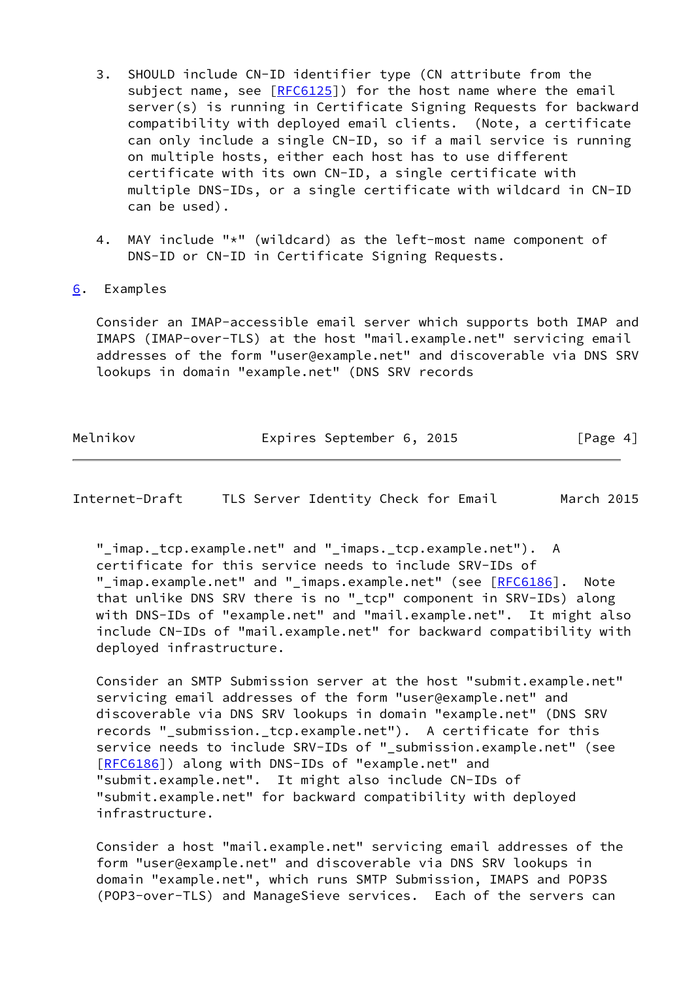- 3. SHOULD include CN-ID identifier type (CN attribute from the subject name, see  $[REG125]$ ) for the host name where the email server(s) is running in Certificate Signing Requests for backward compatibility with deployed email clients. (Note, a certificate can only include a single CN-ID, so if a mail service is running on multiple hosts, either each host has to use different certificate with its own CN-ID, a single certificate with multiple DNS-IDs, or a single certificate with wildcard in CN-ID can be used).
- 4. MAY include "\*" (wildcard) as the left-most name component of DNS-ID or CN-ID in Certificate Signing Requests.
- <span id="page-4-0"></span>[6](#page-4-0). Examples

 Consider an IMAP-accessible email server which supports both IMAP and IMAPS (IMAP-over-TLS) at the host "mail.example.net" servicing email addresses of the form "user@example.net" and discoverable via DNS SRV lookups in domain "example.net" (DNS SRV records

| Melnikov | Expires September 6, 2015 |  | [Page 4] |
|----------|---------------------------|--|----------|
|          |                           |  |          |

<span id="page-4-1"></span>Internet-Draft TLS Server Identity Check for Email March 2015

 "\_imap.\_tcp.example.net" and "\_imaps.\_tcp.example.net"). A certificate for this service needs to include SRV-IDs of "\_imap.example.net" and "\_imaps.example.net" (see [[RFC6186](https://datatracker.ietf.org/doc/pdf/rfc6186)]. Note that unlike DNS SRV there is no " tcp" component in SRV-IDs) along with DNS-IDs of "example.net" and "mail.example.net". It might also include CN-IDs of "mail.example.net" for backward compatibility with deployed infrastructure.

 Consider an SMTP Submission server at the host "submit.example.net" servicing email addresses of the form "user@example.net" and discoverable via DNS SRV lookups in domain "example.net" (DNS SRV records "\_submission.\_tcp.example.net"). A certificate for this service needs to include SRV-IDs of "\_submission.example.net" (see [\[RFC6186](https://datatracker.ietf.org/doc/pdf/rfc6186)]) along with DNS-IDs of "example.net" and "submit.example.net". It might also include CN-IDs of "submit.example.net" for backward compatibility with deployed infrastructure.

 Consider a host "mail.example.net" servicing email addresses of the form "user@example.net" and discoverable via DNS SRV lookups in domain "example.net", which runs SMTP Submission, IMAPS and POP3S (POP3-over-TLS) and ManageSieve services. Each of the servers can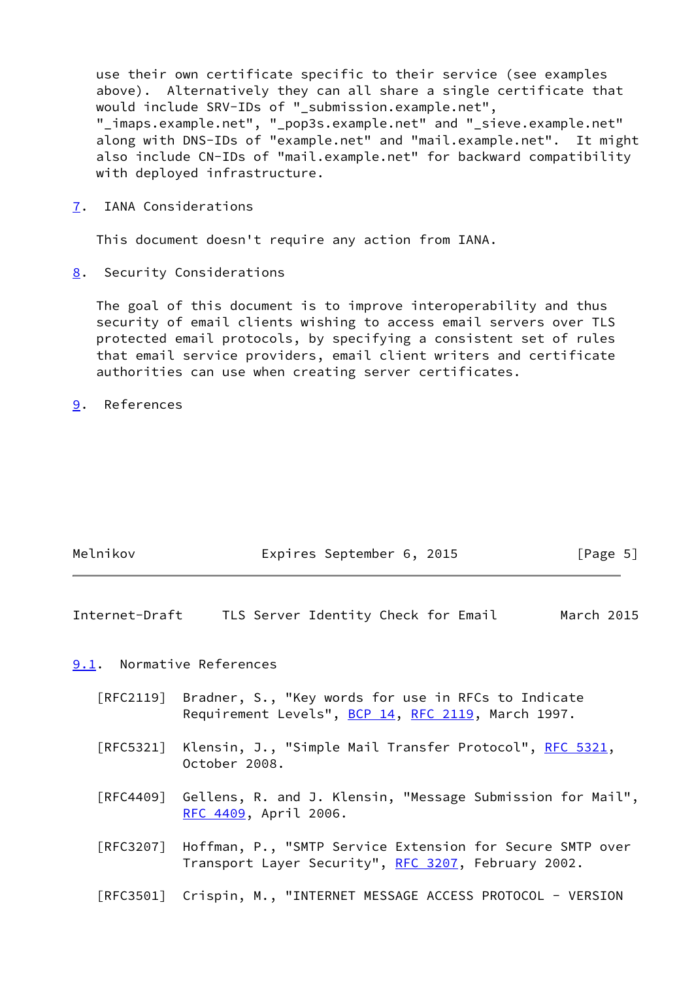use their own certificate specific to their service (see examples above). Alternatively they can all share a single certificate that would include SRV-IDs of " submission.example.net", "\_imaps.example.net", "\_pop3s.example.net" and "\_sieve.example.net" along with DNS-IDs of "example.net" and "mail.example.net". It might also include CN-IDs of "mail.example.net" for backward compatibility with deployed infrastructure.

<span id="page-5-0"></span>[7](#page-5-0). IANA Considerations

This document doesn't require any action from IANA.

<span id="page-5-1"></span>[8](#page-5-1). Security Considerations

 The goal of this document is to improve interoperability and thus security of email clients wishing to access email servers over TLS protected email protocols, by specifying a consistent set of rules that email service providers, email client writers and certificate authorities can use when creating server certificates.

<span id="page-5-2"></span>[9](#page-5-2). References

| Melnikov | Expires September 6, 2015 |  | [Page 5] |
|----------|---------------------------|--|----------|

<span id="page-5-4"></span>Internet-Draft TLS Server Identity Check for Email March 2015

<span id="page-5-3"></span>[9.1](#page-5-3). Normative References

- [RFC2119] Bradner, S., "Key words for use in RFCs to Indicate Requirement Levels", [BCP 14](https://datatracker.ietf.org/doc/pdf/bcp14), [RFC 2119](https://datatracker.ietf.org/doc/pdf/rfc2119), March 1997.
- [RFC5321] Klensin, J., "Simple Mail Transfer Protocol", [RFC 5321](https://datatracker.ietf.org/doc/pdf/rfc5321), October 2008.
- [RFC4409] Gellens, R. and J. Klensin, "Message Submission for Mail", [RFC 4409,](https://datatracker.ietf.org/doc/pdf/rfc4409) April 2006.
- [RFC3207] Hoffman, P., "SMTP Service Extension for Secure SMTP over Transport Layer Security", [RFC 3207](https://datatracker.ietf.org/doc/pdf/rfc3207), February 2002.
- [RFC3501] Crispin, M., "INTERNET MESSAGE ACCESS PROTOCOL VERSION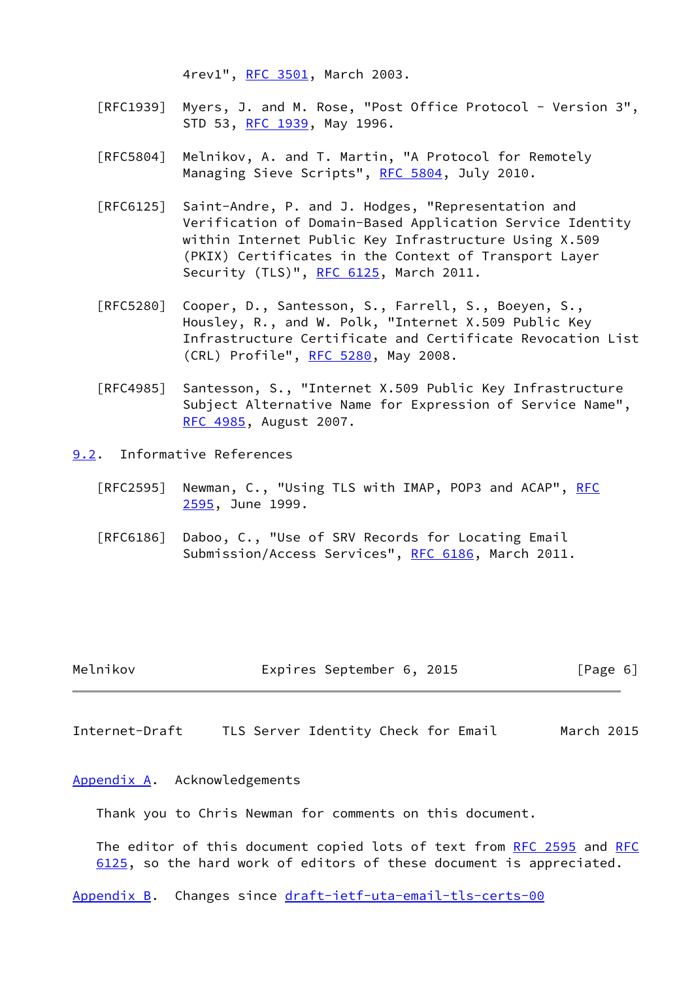4rev1", [RFC 3501,](https://datatracker.ietf.org/doc/pdf/rfc3501) March 2003.

- [RFC1939] Myers, J. and M. Rose, "Post Office Protocol Version 3", STD 53, [RFC 1939,](https://datatracker.ietf.org/doc/pdf/rfc1939) May 1996.
- [RFC5804] Melnikov, A. and T. Martin, "A Protocol for Remotely Managing Sieve Scripts", [RFC 5804,](https://datatracker.ietf.org/doc/pdf/rfc5804) July 2010.
- [RFC6125] Saint-Andre, P. and J. Hodges, "Representation and Verification of Domain-Based Application Service Identity within Internet Public Key Infrastructure Using X.509 (PKIX) Certificates in the Context of Transport Layer Security (TLS)", [RFC 6125,](https://datatracker.ietf.org/doc/pdf/rfc6125) March 2011.
- [RFC5280] Cooper, D., Santesson, S., Farrell, S., Boeyen, S., Housley, R., and W. Polk, "Internet X.509 Public Key Infrastructure Certificate and Certificate Revocation List (CRL) Profile", [RFC 5280,](https://datatracker.ietf.org/doc/pdf/rfc5280) May 2008.
- [RFC4985] Santesson, S., "Internet X.509 Public Key Infrastructure Subject Alternative Name for Expression of Service Name", [RFC 4985,](https://datatracker.ietf.org/doc/pdf/rfc4985) August 2007.
- <span id="page-6-0"></span>[9.2](#page-6-0). Informative References
	- [RFC2595] Newman, C., "Using TLS with IMAP, POP3 and ACAP", [RFC](https://datatracker.ietf.org/doc/pdf/rfc2595) [2595,](https://datatracker.ietf.org/doc/pdf/rfc2595) June 1999.
	- [RFC6186] Daboo, C., "Use of SRV Records for Locating Email Submission/Access Services", [RFC 6186](https://datatracker.ietf.org/doc/pdf/rfc6186), March 2011.

| Melnikov | Expires September 6, 2015 |  |  | [Page 6] |
|----------|---------------------------|--|--|----------|
|----------|---------------------------|--|--|----------|

<span id="page-6-2"></span>Internet-Draft TLS Server Identity Check for Email March 2015

#### <span id="page-6-1"></span>[Appendix A.](#page-6-1) Acknowledgements

Thank you to Chris Newman for comments on this document.

The editor of this document copied lots of text from [RFC 2595](https://datatracker.ietf.org/doc/pdf/rfc2595) and [RFC](https://datatracker.ietf.org/doc/pdf/rfc6125) [6125](https://datatracker.ietf.org/doc/pdf/rfc6125), so the hard work of editors of these document is appreciated.

<span id="page-6-3"></span>[Appendix B.](#page-6-3) Changes since [draft-ietf-uta-email-tls-certs-00](https://datatracker.ietf.org/doc/pdf/draft-ietf-uta-email-tls-certs-00)